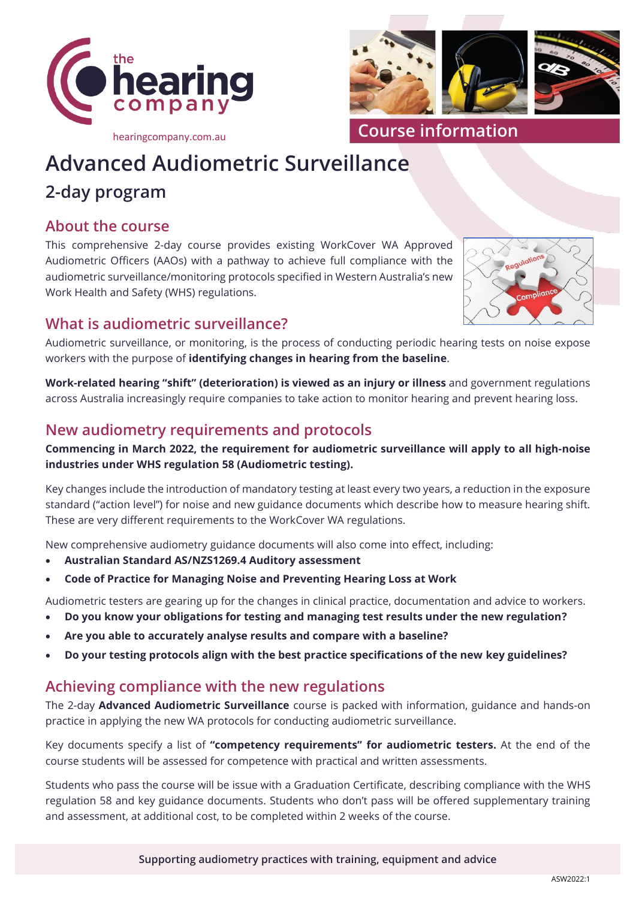



**Course information**

# **Advanced Audiometric Surveillance**

## **2-day program**

#### **About the course**

This comprehensive 2-day course provides existing WorkCover WA Approved Audiometric Officers (AAOs) with a pathway to achieve full compliance with the audiometric surveillance/monitoring protocols specified in Western Australia's new Work Health and Safety (WHS) regulations.



## **What is audiometric surveillance?**

Audiometric surveillance, or monitoring, is the process of conducting periodic hearing tests on noise expose workers with the purpose of **identifying changes in hearing from the baseline**.

**Work-related hearing "shift" (deterioration) is viewed as an injury or illness** and government regulations across Australia increasingly require companies to take action to monitor hearing and prevent hearing loss.

#### **New audiometry requirements and protocols**

#### **Commencing in March 2022, the requirement for audiometric surveillance will apply to all high-noise industries under WHS regulation 58 (Audiometric testing).**

Key changes include the introduction of mandatory testing at least every two years, a reduction in the exposure standard ("action level") for noise and new guidance documents which describe how to measure hearing shift. These are very different requirements to the WorkCover WA regulations.

New comprehensive audiometry guidance documents will also come into effect, including:

- **Australian Standard AS/NZS1269.4 Auditory assessment**
- **Code of Practice for Managing Noise and Preventing Hearing Loss at Work**

Audiometric testers are gearing up for the changes in clinical practice, documentation and advice to workers.

- **Do you know your obligations for testing and managing test results under the new regulation?**
- **Are you able to accurately analyse results and compare with a baseline?**
- **Do your testing protocols align with the best practice specifications of the new key guidelines?**

#### **Achieving compliance with the new regulations**

The 2-day **Advanced Audiometric Surveillance** course is packed with information, guidance and hands-on practice in applying the new WA protocols for conducting audiometric surveillance.

Key documents specify a list of **"competency requirements" for audiometric testers.** At the end of the course students will be assessed for competence with practical and written assessments.

Students who pass the course will be issue with a Graduation Certificate, describing compliance with the WHS regulation 58 and key guidance documents. Students who don't pass will be offered supplementary training and assessment, at additional cost, to be completed within 2 weeks of the course.